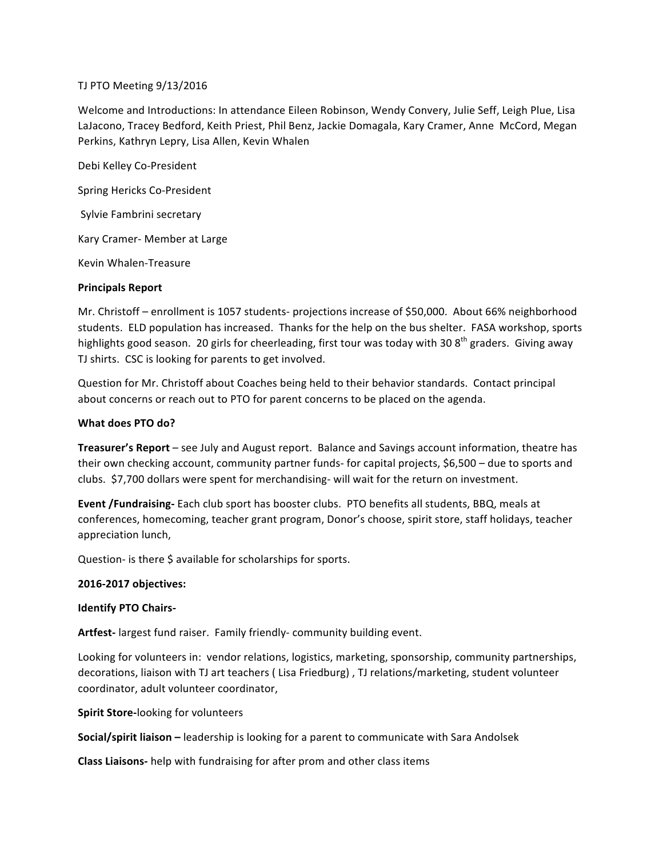## TJ PTO Meeting 9/13/2016

Welcome and Introductions: In attendance Eileen Robinson, Wendy Convery, Julie Seff, Leigh Plue, Lisa LaJacono, Tracey Bedford, Keith Priest, Phil Benz, Jackie Domagala, Kary Cramer, Anne McCord, Megan Perkins, Kathryn Lepry, Lisa Allen, Kevin Whalen

Debi Kelley Co-President Spring Hericks Co-President Sylvie Fambrini secretary Kary Cramer- Member at Large Kevin Whalen-Treasure

## **Principals Report**

Mr. Christoff – enrollment is 1057 students- projections increase of \$50,000. About 66% neighborhood students. ELD population has increased. Thanks for the help on the bus shelter. FASA workshop, sports highlights good season. 20 girls for cheerleading, first tour was today with 30 8<sup>th</sup> graders. Giving away TJ shirts. CSC is looking for parents to get involved.

Question for Mr. Christoff about Coaches being held to their behavior standards. Contact principal about concerns or reach out to PTO for parent concerns to be placed on the agenda.

# **What does PTO do?**

**Treasurer's Report** – see July and August report. Balance and Savings account information, theatre has their own checking account, community partner funds- for capital projects, \$6,500 - due to sports and clubs. \$7,700 dollars were spent for merchandising- will wait for the return on investment.

**Event /Fundraising-** Each club sport has booster clubs. PTO benefits all students, BBQ, meals at conferences, homecoming, teacher grant program, Donor's choose, spirit store, staff holidays, teacher appreciation lunch,

Question- is there \$ available for scholarships for sports.

#### **2016-2017 objectives:**

#### **Identify PTO Chairs-**

Artfest- largest fund raiser. Family friendly- community building event.

Looking for volunteers in: vendor relations, logistics, marketing, sponsorship, community partnerships, decorations, liaison with TJ art teachers ( Lisa Friedburg), TJ relations/marketing, student volunteer coordinator, adult volunteer coordinator,

**Spirit Store-looking for volunteers** 

**Social/spirit liaison** – leadership is looking for a parent to communicate with Sara Andolsek

**Class Liaisons-** help with fundraising for after prom and other class items